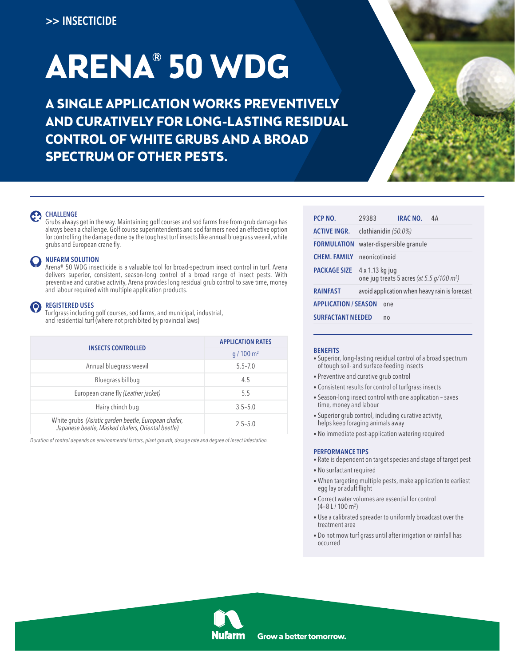# **ARENA® 50 WDG**

**A SINGLE APPLICATION WORKS PREVENTIVELY AND CURATIVELY FOR LONG-LASTING RESIDUAL CONTROL OF WHITE GRUBS AND A BROAD SPECTRUM OF OTHER PESTS.**



## CHALLENGE

 Grubs always get in the way. Maintaining golf courses and sod farms free from grub damage has always been a challenge. Golf course superintendents and sod farmers need an effective option for controlling the damage done by the toughest turf insects like annual bluegrass weevil, white grubs and European crane fly.

## **NUFARM SOLUTION**

 Arena® 50 WDG insecticide is a valuable tool for broad-spectrum insect control in turf. Arena delivers superior, consistent, season-long control of a broad range of insect pests. With preventive and curative activity, Arena provides long residual grub control to save time, money and labour required with multiple application products.

## REGISTERED USES

 Turfgrass including golf courses, sod farms, and municipal, industrial, and residential turf (where not prohibited by provincial laws)

| <b>INSECTS CONTROLLED</b>                                                                                 | <b>APPLICATION RATES</b> |  |  |  |  |  |
|-----------------------------------------------------------------------------------------------------------|--------------------------|--|--|--|--|--|
|                                                                                                           | $q/100 \text{ m}^2$      |  |  |  |  |  |
| Annual bluegrass weevil                                                                                   | $5.5 - 7.0$              |  |  |  |  |  |
| Bluegrass billbug                                                                                         | 4.5                      |  |  |  |  |  |
| European crane fly (Leather jacket)                                                                       | 5.5                      |  |  |  |  |  |
| Hairy chinch bug                                                                                          | $3.5 - 5.0$              |  |  |  |  |  |
| White grubs (Asiatic garden beetle, European chafer,<br>Japanese beetle, Masked chafers, Oriental beetle) | $2.5 - 5.0$              |  |  |  |  |  |

*Duration of control depends on environmental factors, plant growth, dosage rate and degree of insect infestation.*

| PCP NO.                     | 29383                                                                      |    | <b>IRAC NO.</b>           | 4А                                            |  |  |  |  |  |  |
|-----------------------------|----------------------------------------------------------------------------|----|---------------------------|-----------------------------------------------|--|--|--|--|--|--|
| <b>ACTIVE INGR.</b>         | clothianidin (50.0%)                                                       |    |                           |                                               |  |  |  |  |  |  |
| <b>FORMULATION</b>          |                                                                            |    | water-dispersible granule |                                               |  |  |  |  |  |  |
| <b>CHEM. FAMILY</b>         | neonicotinoid                                                              |    |                           |                                               |  |  |  |  |  |  |
| <b>PACKAGE SIZE</b>         | 4 x 1.13 kg jug<br>one jug treats 5 acres (at 5.5 $q/100$ m <sup>2</sup> ) |    |                           |                                               |  |  |  |  |  |  |
| <b>RAINFAST</b>             |                                                                            |    |                           | avoid application when heavy rain is forecast |  |  |  |  |  |  |
| <b>APPLICATION / SEASON</b> |                                                                            |    |                           |                                               |  |  |  |  |  |  |
| <b>SURFACTANT NEEDED</b>    |                                                                            | no |                           |                                               |  |  |  |  |  |  |

## **BENEFITS**

- Superior, long-lasting residual control of a broad spectrum of tough soil- and surface-feeding insects
- Preventive and curative grub control
- Consistent results for control of turfgrass insects
- Season-long insect control with one application saves time, money and labour
- Superior grub control, including curative activity, helps keep foraging animals away
- No immediate post-application watering required

## PERFORMANCE TIPS

- Rate is dependent on target species and stage of target pest
- No surfactant required
- When targeting multiple pests, make application to earliest egg lay or adult flight
- Correct water volumes are essential for control (4–8 L / 100 m2 )
- Use a calibrated spreader to uniformly broadcast over the treatment area
- Do not mow turf grass until after irrigation or rainfall has occurred